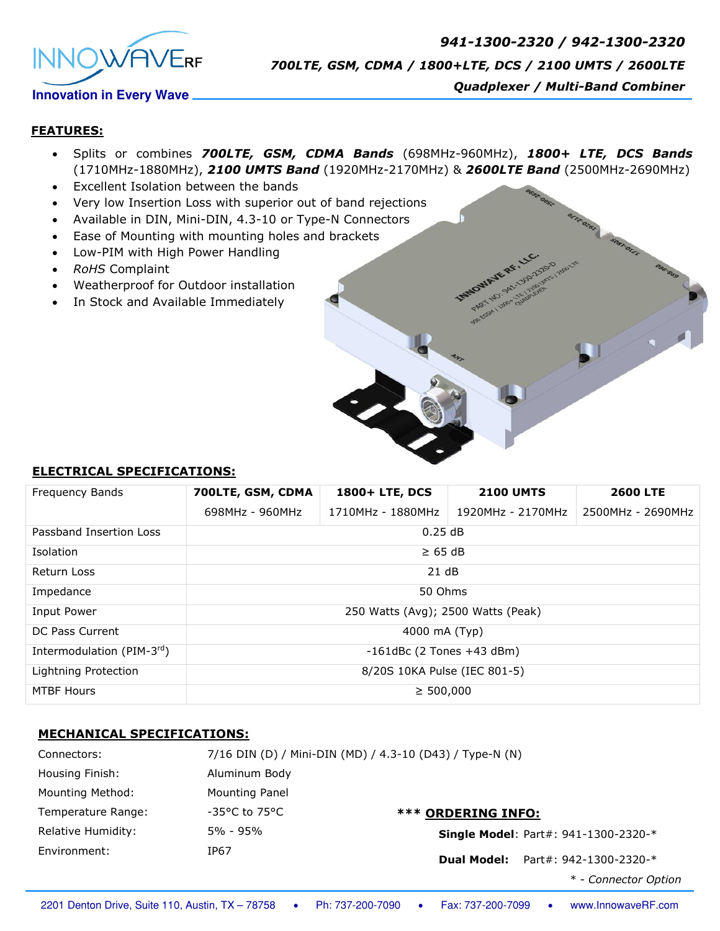

*941-1300-2320 / 942-1300-2320 700LTE, GSM, CDMA / 1800+LTE, DCS / 2100 UMTS / 2600LTE*

# *Quadplexer / Multi-Band Combiner*

#### **FEATURES:**

- Splits or combines *700LTE, GSM, CDMA Bands* (698MHz-960MHz), *1800+ LTE, DCS Bands* (1710MHz-1880MHz), *2100 UMTS Band* (1920MHz-2170MHz) & *2600LTE Band* (2500MHz-2690MHz)
- Excellent Isolation between the bands
- Very low Insertion Loss with superior out of band rejections
- Available in DIN, Mini-DIN, 4.3-10 or Type-N Connectors
- Ease of Mounting with mounting holes and brackets
- Low-PIM with High Power Handling
- *RoHS* Complaint
- Weatherproof for Outdoor installation
- In Stock and Available Immediately

### **ELECTRICAL SPECIFICATIONS:**

| Frequency Bands           | 700LTE, GSM, CDMA                  | 1800+ LTE, DCS    | <b>2100 UMTS</b>  | <b>2600 LTE</b>   |
|---------------------------|------------------------------------|-------------------|-------------------|-------------------|
|                           | 698MHz - 960MHz                    | 1710MHz - 1880MHz | 1920MHz - 2170MHz | 2500MHz - 2690MHz |
| Passband Insertion Loss   | 0.25dB                             |                   |                   |                   |
| Isolation                 | $\geq 65$ dB                       |                   |                   |                   |
| Return Loss               | 21 dB                              |                   |                   |                   |
| Impedance                 | 50 Ohms                            |                   |                   |                   |
| Input Power               | 250 Watts (Avg); 2500 Watts (Peak) |                   |                   |                   |
| DC Pass Current           | 4000 mA (Typ)                      |                   |                   |                   |
| Intermodulation (PIM-3rd) | $-161$ dBc (2 Tones $+43$ dBm)     |                   |                   |                   |
| Lightning Protection      | 8/20S 10KA Pulse (IEC 801-5)       |                   |                   |                   |
| <b>MTBF Hours</b>         | $\geq 500,000$                     |                   |                   |                   |

### **MECHANICAL SPECIFICATIONS:**

| Connectors:        |                         | 7/16 DIN (D) / Mini-DIN (MD) / 4.3-10 (D43) / Type-N (N) |  |  |
|--------------------|-------------------------|----------------------------------------------------------|--|--|
| Housing Finish:    | Aluminum Body           |                                                          |  |  |
| Mounting Method:   | Mounting Panel          |                                                          |  |  |
| Temperature Range: | $-35^{\circ}$ C to 75°C | <b>*** ORDERING INFO:</b>                                |  |  |
| Relative Humidity: | 5% - 95%                | <b>Single Model: Part#: 941-1300-2320-*</b>              |  |  |
| Environment:       | IP67                    | Part#: 942-1300-2320-*<br><b>Dual Model:</b>             |  |  |
|                    |                         | * - Connector Option                                     |  |  |